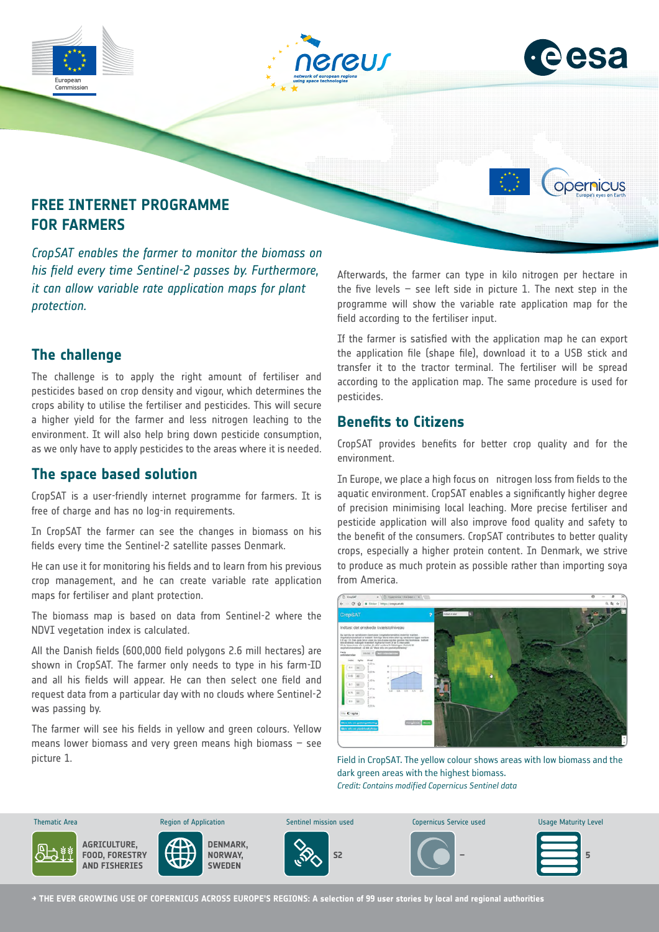





opernicus

# **FREE INTERNET PROGRAMME FOR FARMERS**

*CropSAT enables the farmer to monitor the biomass on his field every time Sentinel-2 passes by. Furthermore, it can allow variable rate application maps for plant protection.*

## **The challenge**

The challenge is to apply the right amount of fertiliser and pesticides based on crop density and vigour, which determines the crops ability to utilise the fertiliser and pesticides. This will secure a higher yield for the farmer and less nitrogen leaching to the environment. It will also help bring down pesticide consumption, as we only have to apply pesticides to the areas where it is needed.

## **The space based solution**

CropSAT is a user-friendly internet programme for farmers. It is free of charge and has no log-in requirements.

In CropSAT the farmer can see the changes in biomass on his fields every time the Sentinel-2 satellite passes Denmark.

He can use it for monitoring his fields and to learn from his previous crop management, and he can create variable rate application maps for fertiliser and plant protection.

The biomass map is based on data from Sentinel-2 where the NDVI vegetation index is calculated.

All the Danish fields (600,000 field polygons 2.6 mill hectares) are shown in CropSAT. The farmer only needs to type in his farm-ID and all his fields will appear. He can then select one field and request data from a particular day with no clouds where Sentinel-2 was passing by.

The farmer will see his fields in yellow and green colours. Yellow means lower biomass and very green means high biomass – see picture 1.

Afterwards, the farmer can type in kilo nitrogen per hectare in the five levels  $-$  see left side in picture 1. The next step in the programme will show the variable rate application map for the field according to the fertiliser input.

If the farmer is satisfied with the application map he can export the application file (shape file), download it to a USB stick and transfer it to the tractor terminal. The fertiliser will be spread according to the application map. The same procedure is used for pesticides.

## **Benefits to Citizens**

CropSAT provides benefits for better crop quality and for the environment.

In Europe, we place a high focus on nitrogen loss from fields to the aquatic environment. CropSAT enables a significantly higher degree of precision minimising local leaching. More precise fertiliser and pesticide application will also improve food quality and safety to the benefit of the consumers. CropSAT contributes to better quality crops, especially a higher protein content. In Denmark, we strive to produce as much protein as possible rather than importing soya from America.



Field in CropSAT. The yellow colour shows areas with low biomass and the dark green areas with the highest biomass. *Credit: Contains modified Copernicus Sentinel data*

**AGRICULTURE, FOOD, FORESTRY AND FISHERIES DENMARK, NORWAY, SWEDEN S2 – 5** Thematic Area **Sentinel Maturity Level** Copernicus Sentinel mission used Copernicus Service used Usage Maturity Level

**→ THE EVER GROWING USE OF COPERNICUS ACROSS EUROPE'S REGIONS: A selection of 99 user stories by local and regional authorities**